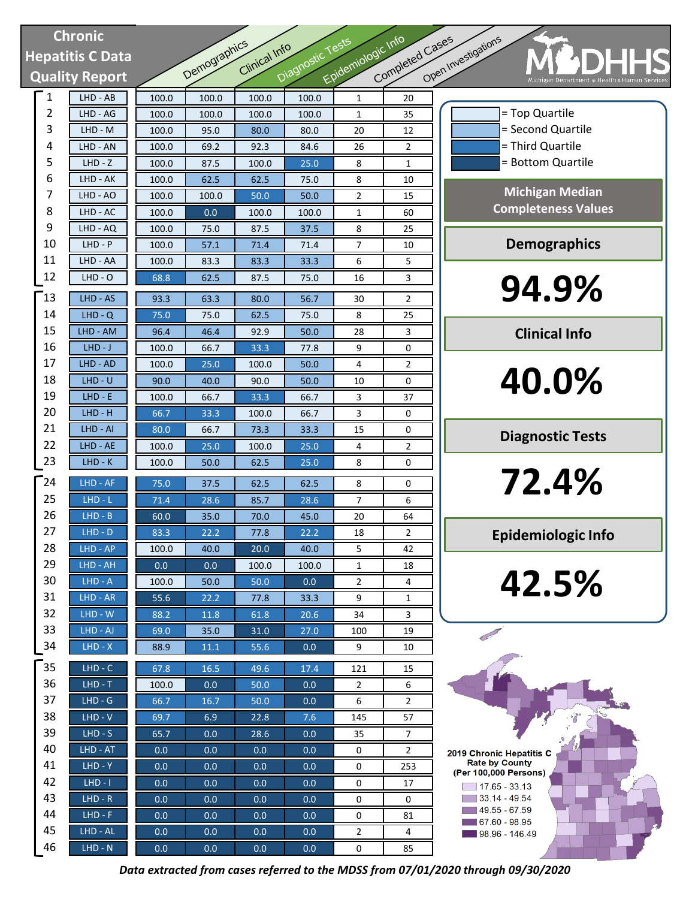# **Chronic Hepatitis C Data Quality Report**

| <b>Chronic</b>  |                       |         |              |               |                  |                    |                 |                                      |
|-----------------|-----------------------|---------|--------------|---------------|------------------|--------------------|-----------------|--------------------------------------|
| epatitis C Data |                       |         |              | Clinical Info |                  |                    |                 |                                      |
|                 | <b>Quality Report</b> |         | Demographics |               | Diagnostic Tests | Epidemiologic Info | Completed Cases | Open Investigations                  |
| $\mathbf{1}$    | LHD - AB              | 100.0   | 100.0        | 100.0         | 100.0            | $\mathbf{1}$       | 20              |                                      |
| $\overline{2}$  | LHD - AG              | 100.0   | 100.0        | 100.0         | 100.0            | 1                  | 35              |                                      |
| 3               | LHD - M               | 100.0   | 95.0         | 80.0          | 80.0             | 20                 | 12              |                                      |
| 4               | LHD - AN              | 100.0   | 69.2         | 92.3          | 84.6             | 26                 | 2               |                                      |
| 5               | $LHD - Z$             | 100.0   | 87.5         | 100.0         | 25.0             | 8                  | 1               |                                      |
| 6               | LHD - AK              | 100.0   | 62.5         | 62.5          | 75.0             | 8                  | 10              |                                      |
| 7               | LHD - AO              | 100.0   | 100.0        | 50.0          | 50.0             | 2                  | 15              |                                      |
| 8               | LHD - AC              | 100.0   | 0.0          | 100.0         | 100.0            | 1                  | 60              | Co                                   |
| 9               | LHD - AQ              | 100.0   | 75.0         | 87.5          | 37.5             | 8                  | 25              |                                      |
| 10              | $LHD - P$             | 100.0   | 57.1         | 71.4          | 71.4             | 7                  | 10              |                                      |
| 11              | LHD - AA              | 100.0   | 83.3         | 83.3          | 33.3             | 6                  | 5               |                                      |
| 12              | $LHD - O$             | 68.8    | 62.5         | 87.5          | 75.0             | 16                 | 3               |                                      |
| $^-13$          | LHD - AS              | 93.3    | 63.3         | 80.0          | 56.7             | 30                 | 2               |                                      |
| 14              | $LHD - Q$             | 75.0    | 75.0         | 62.5          | 75.0             | 8                  | 25              |                                      |
| 15              | LHD - AM              | 96.4    | 46.4         | 92.9          | 50.0             | 28                 | 3               |                                      |
| 16              | $LHD-J$               | 100.0   | 66.7         | 33.3          | 77.8             | 9                  | 0               |                                      |
| 17              | LHD - AD              | 100.0   | 25.0         | 100.0         | 50.0             | 4                  | $\overline{2}$  |                                      |
| 18              | $LHD - U$             | 90.0    | 40.0         | 90.0          | 50.0             | 10                 | 0               |                                      |
| 19              | $LHD - E$             | 100.0   | 66.7         | 33.3          | 66.7             | 3                  | 37              |                                      |
| 20              | $LHD - H$             | 66.7    | 33.3         | 100.0         | 66.7             | 3                  | 0               |                                      |
| 21              | LHD - AI              | 80.0    | 66.7         | 73.3          | 33.3             | 15                 | 0               | L                                    |
| 22              | LHD - AE              | 100.0   | 25.0         | 100.0         | 25.0             | 4                  | $\overline{2}$  |                                      |
| 23              | $LHD-K$               | 100.0   | 50.0         | 62.5          | 25.0             | 8                  | 0               |                                      |
| $^{-24}$        | LHD - AF              | 75.0    | 37.5         | 62.5          | 62.5             | 8                  | 0               |                                      |
| 25              | $LHD - L$             | 71.4    | 28.6         | 85.7          | 28.6             | $\overline{7}$     | 6               |                                      |
| 26              | $LHD - B$             | 60.0    | 35.0         | 70.0          | 45.0             | 20                 | 64              |                                      |
| 27              | $LHD - D$             | 83.3    | 22.2         | 77.8          | 22.2             | 18                 | 2               | Ep                                   |
| 28              | LHD - AP              | 100.0   | 40.0         | 20.0          | 40.0             | 5                  | 42              |                                      |
| 29              | $LHD - AH$            | 0.0     | 0.0          | 100.0         | 100.0            | 1                  | 18              |                                      |
| 30              | $LHD - A$             | 100.0   | 50.0         | 50.0          | 0.0              | $\overline{2}$     | 4               |                                      |
| 31              | LHD - AR              | 55.6    | 22.2         | 77.8          | 33.3             | 9                  | 1               |                                      |
| 32              | $LHD - W$             | 88.2    | 11.8         | 61.8          | 20.6             | 34                 | 3               |                                      |
| 33              | LHD - AJ              | 69.0    | 35.0         | 31.0          | 27.0             | 100                | 19              |                                      |
| 34              | $LHD - X$             | 88.9    | 11.1         | 55.6          | 0.0              | 9                  | 10              |                                      |
| 35              | $LHD - C$             | 67.8    | 16.5         | 49.6          | 17.4             | 121                | 15              |                                      |
| 36              | $LHD - T$             | 100.0   | 0.0          | 50.0          | 0.0              | $\overline{2}$     | 6               |                                      |
| 37              | $LHD - G$             | 66.7    | 16.7         | 50.0          | 0.0              | 6                  | $\overline{2}$  |                                      |
| 38              | $LHD - V$             | 69.7    | 6.9          | 22.8          | 7.6              | 145                | 57              |                                      |
| 39              | $LHD-S$               | 65.7    | 0.0          | 28.6          | 0.0              | 35                 | 7               |                                      |
| 40              | LHD - AT              | 0.0     | 0.0          | 0.0           | 0.0              | 0                  | 2               | 2019 Chronic                         |
| 41              | $LHD - Y$             | 0.0     | 0.0          | 0.0           | 0.0              | 0                  | 253             | Rate by C<br>(Per 100,000            |
| 42              | $LHD - I$             | 0.0     | 0.0          | 0.0           | 0.0              | 0                  | 17              | $\boxed{17.65}$                      |
| 43              | $LHD - R$             | 0.0     | 0.0          | 0.0           | 0.0              | 0                  | 0               | $\Box$ 33.14 -                       |
| 44              | $LHD - F$             | 0.0     | 0.0          | 0.0           | 0.0              | 0                  | 81              | $-49.55 -$<br>$\blacksquare$ 67.60 - |
| 45              | LHD - AL              | 0.0     | 0.0          | 0.0           | 0.0              | 2                  | 4               | $98.96 -$                            |
| 46              | $LHD - N$             | $0.0\,$ | 0.0          | 0.0           | 0.0              | $\mathbf 0$        | 85              |                                      |

= Bottom Quartile **94.9% Michigan Median Completeness Values Demographics Clinical Info**

= Third Quartile = Second Quartile = Top Quartile

**40.0%**

**Diagnostic Tests**

**72.4%**

**Epidemiologic Info**

**42.5%**

2019 Chronic Hepatitis C<br>Rate by County (Per 100,000 Persons)  $\boxed{ }$  17.65 - 33.13  $33.14 - 49.54$  $149.55 - 67.59$  $\blacksquare$  67.60 - 98.95  $98.96 - 146.49$ 

*Data extracted from cases referred to the MDSS from 07/01/2020 through 09/30/2020*